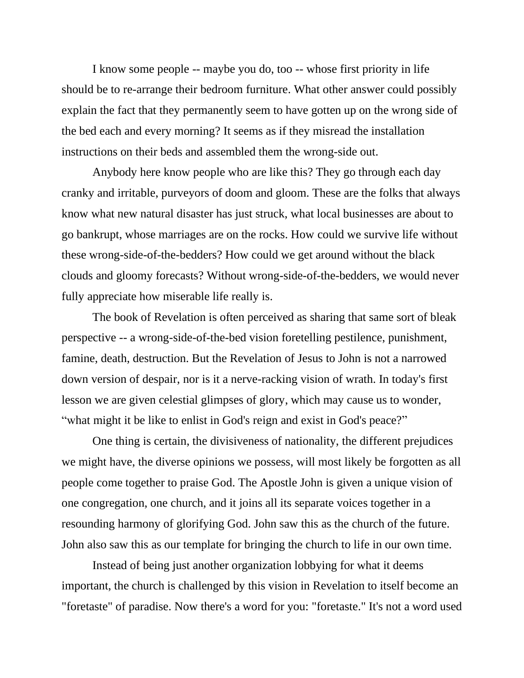I know some people -- maybe you do, too -- whose first priority in life should be to re-arrange their bedroom furniture. What other answer could possibly explain the fact that they permanently seem to have gotten up on the wrong side of the bed each and every morning? It seems as if they misread the installation instructions on their beds and assembled them the wrong-side out.

Anybody here know people who are like this? They go through each day cranky and irritable, purveyors of doom and gloom. These are the folks that always know what new natural disaster has just struck, what local businesses are about to go bankrupt, whose marriages are on the rocks. How could we survive life without these wrong-side-of-the-bedders? How could we get around without the black clouds and gloomy forecasts? Without wrong-side-of-the-bedders, we would never fully appreciate how miserable life really is.

The book of Revelation is often perceived as sharing that same sort of bleak perspective -- a wrong-side-of-the-bed vision foretelling pestilence, punishment, famine, death, destruction. But the Revelation of Jesus to John is not a narrowed down version of despair, nor is it a nerve-racking vision of wrath. In today's first lesson we are given celestial glimpses of glory, which may cause us to wonder, "what might it be like to enlist in God's reign and exist in God's peace?"

One thing is certain, the divisiveness of nationality, the different prejudices we might have, the diverse opinions we possess, will most likely be forgotten as all people come together to praise God. The Apostle John is given a unique vision of one congregation, one church, and it joins all its separate voices together in a resounding harmony of glorifying God. John saw this as the church of the future. John also saw this as our template for bringing the church to life in our own time.

Instead of being just another organization lobbying for what it deems important, the church is challenged by this vision in Revelation to itself become an "foretaste" of paradise. Now there's a word for you: "foretaste." It's not a word used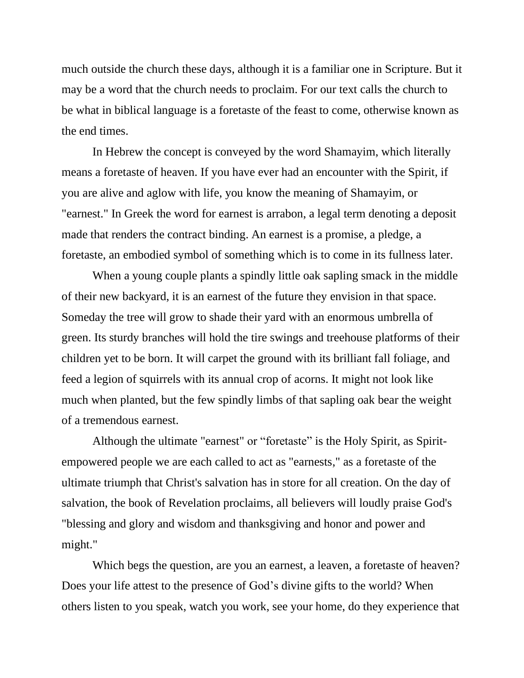much outside the church these days, although it is a familiar one in Scripture. But it may be a word that the church needs to proclaim. For our text calls the church to be what in biblical language is a foretaste of the feast to come, otherwise known as the end times.

In Hebrew the concept is conveyed by the word Shamayim, which literally means a foretaste of heaven. If you have ever had an encounter with the Spirit, if you are alive and aglow with life, you know the meaning of Shamayim, or "earnest." In Greek the word for earnest is arrabon, a legal term denoting a deposit made that renders the contract binding. An earnest is a promise, a pledge, a foretaste, an embodied symbol of something which is to come in its fullness later.

When a young couple plants a spindly little oak sapling smack in the middle of their new backyard, it is an earnest of the future they envision in that space. Someday the tree will grow to shade their yard with an enormous umbrella of green. Its sturdy branches will hold the tire swings and treehouse platforms of their children yet to be born. It will carpet the ground with its brilliant fall foliage, and feed a legion of squirrels with its annual crop of acorns. It might not look like much when planted, but the few spindly limbs of that sapling oak bear the weight of a tremendous earnest.

Although the ultimate "earnest" or "foretaste" is the Holy Spirit, as Spiritempowered people we are each called to act as "earnests," as a foretaste of the ultimate triumph that Christ's salvation has in store for all creation. On the day of salvation, the book of Revelation proclaims, all believers will loudly praise God's "blessing and glory and wisdom and thanksgiving and honor and power and might."

Which begs the question, are you an earnest, a leaven, a foretaste of heaven? Does your life attest to the presence of God's divine gifts to the world? When others listen to you speak, watch you work, see your home, do they experience that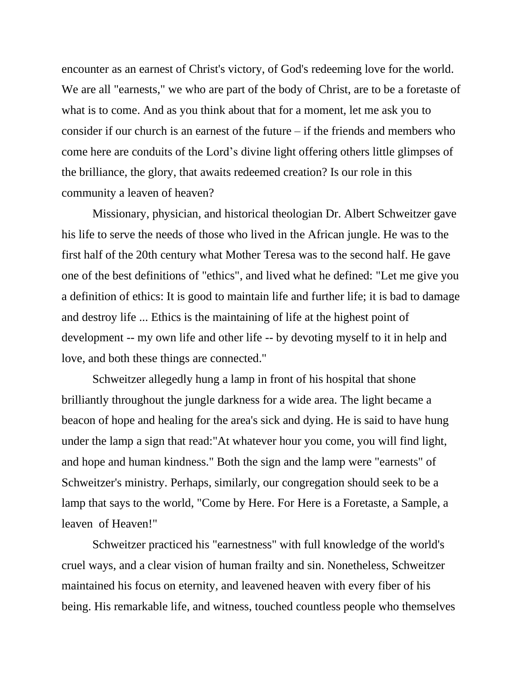encounter as an earnest of Christ's victory, of God's redeeming love for the world. We are all "earnests," we who are part of the body of Christ, are to be a foretaste of what is to come. And as you think about that for a moment, let me ask you to consider if our church is an earnest of the future – if the friends and members who come here are conduits of the Lord's divine light offering others little glimpses of the brilliance, the glory, that awaits redeemed creation? Is our role in this community a leaven of heaven?

Missionary, physician, and historical theologian Dr. Albert Schweitzer gave his life to serve the needs of those who lived in the African jungle. He was to the first half of the 20th century what Mother Teresa was to the second half. He gave one of the best definitions of "ethics", and lived what he defined: "Let me give you a definition of ethics: It is good to maintain life and further life; it is bad to damage and destroy life ... Ethics is the maintaining of life at the highest point of development -- my own life and other life -- by devoting myself to it in help and love, and both these things are connected."

Schweitzer allegedly hung a lamp in front of his hospital that shone brilliantly throughout the jungle darkness for a wide area. The light became a beacon of hope and healing for the area's sick and dying. He is said to have hung under the lamp a sign that read:"At whatever hour you come, you will find light, and hope and human kindness." Both the sign and the lamp were "earnests" of Schweitzer's ministry. Perhaps, similarly, our congregation should seek to be a lamp that says to the world, "Come by Here. For Here is a Foretaste, a Sample, a leaven of Heaven!"

Schweitzer practiced his "earnestness" with full knowledge of the world's cruel ways, and a clear vision of human frailty and sin. Nonetheless, Schweitzer maintained his focus on eternity, and leavened heaven with every fiber of his being. His remarkable life, and witness, touched countless people who themselves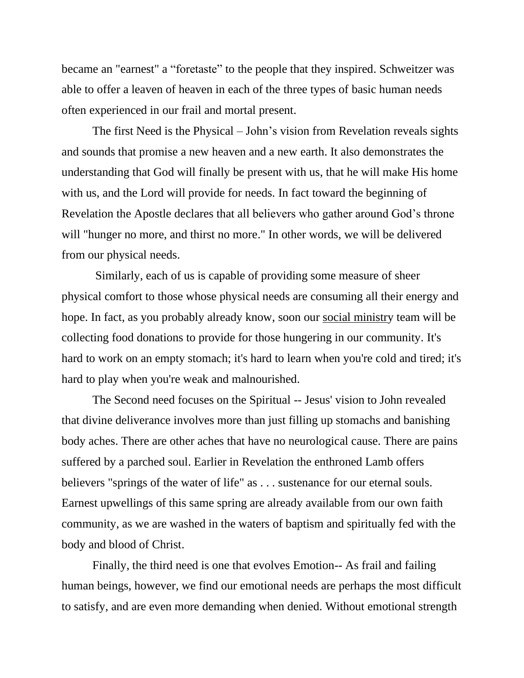became an "earnest" a "foretaste" to the people that they inspired. Schweitzer was able to offer a leaven of heaven in each of the three types of basic human needs often experienced in our frail and mortal present.

The first Need is the Physical – John's vision from Revelation reveals sights and sounds that promise a new heaven and a new earth. It also demonstrates the understanding that God will finally be present with us, that he will make His home with us, and the Lord will provide for needs. In fact toward the beginning of Revelation the Apostle declares that all believers who gather around God's throne will "hunger no more, and thirst no more." In other words, we will be delivered from our physical needs.

Similarly, each of us is capable of providing some measure of sheer physical comfort to those whose physical needs are consuming all their energy and hope. In fact, as you probably already know, soon our social ministry team will be collecting food donations to provide for those hungering in our community. It's hard to work on an empty stomach; it's hard to learn when you're cold and tired; it's hard to play when you're weak and malnourished.

The Second need focuses on the Spiritual -- Jesus' vision to John revealed that divine deliverance involves more than just filling up stomachs and banishing body aches. There are other aches that have no neurological cause. There are pains suffered by a parched soul. Earlier in Revelation the enthroned Lamb offers believers "springs of the water of life" as . . . sustenance for our eternal souls. Earnest upwellings of this same spring are already available from our own faith community, as we are washed in the waters of baptism and spiritually fed with the body and blood of Christ.

Finally, the third need is one that evolves Emotion-- As frail and failing human beings, however, we find our emotional needs are perhaps the most difficult to satisfy, and are even more demanding when denied. Without emotional strength